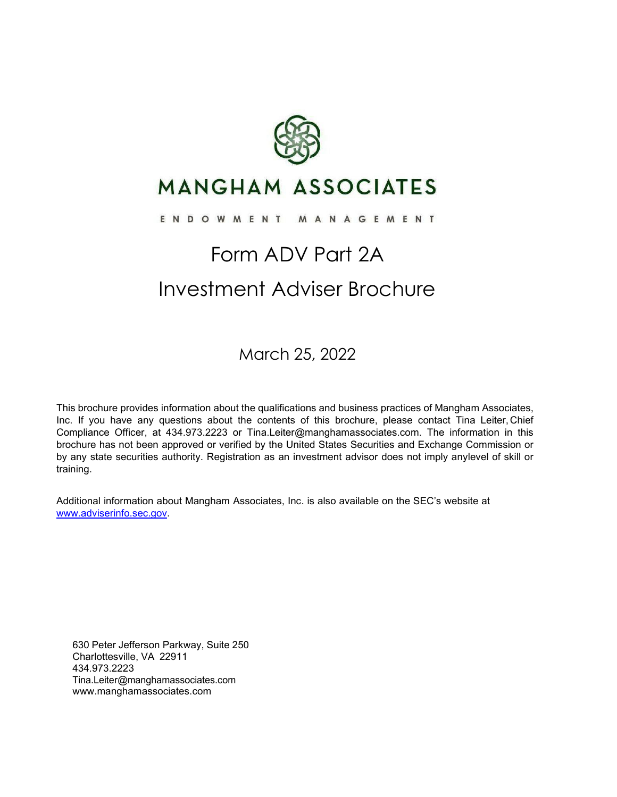

## **MANGHAM ASSOCIATES**

#### ENDOWMENT MANAGEMENT

## Form ADV Part 2A Investment Adviser Brochure

March 25, 2022

This brochure provides information about the qualifications and business practices of Mangham Associates, Inc. If you have any questions about the contents of this brochure, please contact Tina Leiter, Chief Compliance Officer, at 434.973.2223 or [Tina.Leiter@manghamassociates.com. T](mailto:Tina.Leiter@manghamassociates.com)he information in this brochure has not been approved or verified by the United States Securities and Exchange Commission or by any state securities authority. Registration as an investment advisor does not imply anylevel of skill or training.

Additional information about Mangham Associates, Inc. is also available on the SEC's website at [www.adviserinfo.sec.gov.](http://www.adviserinfo.sec.gov/)

630 Peter Jefferson Parkway, Suite 250 Charlottesville, VA 22911 434.973.2223 [Tina.Leiter@manghamassociates.com](mailto:Tina.Leiter@manghamassociates.com) [www.manghamassociates.com](http://www.manghamassociates.com/)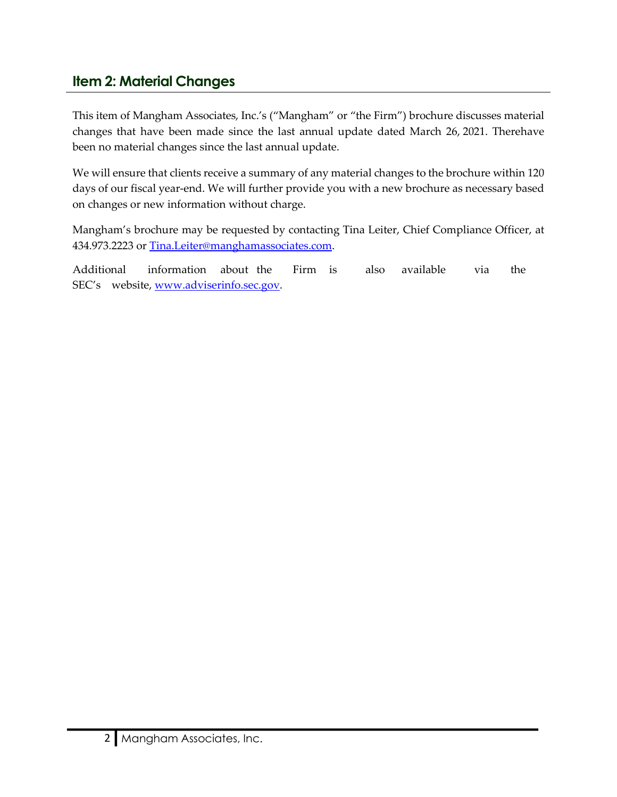### <span id="page-1-0"></span>**Item 2: Material Changes**

This item of Mangham Associates, Inc.'s ("Mangham" or "the Firm") brochure discusses material changes that have been made since the last annual update dated March 26, 2021. Therehave been no material changes since the last annual update.

We will ensure that clients receive a summary of any material changes to the brochure within 120 days of our fiscal year-end. We will further provide you with a new brochure as necessary based on changes or new information without charge.

Mangham's brochure may be requested by contacting Tina Leiter, Chief Compliance Officer, at 434.973.2223 or [Tina.Leiter@manghamassociates.com.](mailto:Tina.Leiter@manghamassociates.com)

Additional information about the Firm is also available via the SEC's website, [www.adviserinfo.sec.gov.](http://www.adviserinfo.sec.gov/)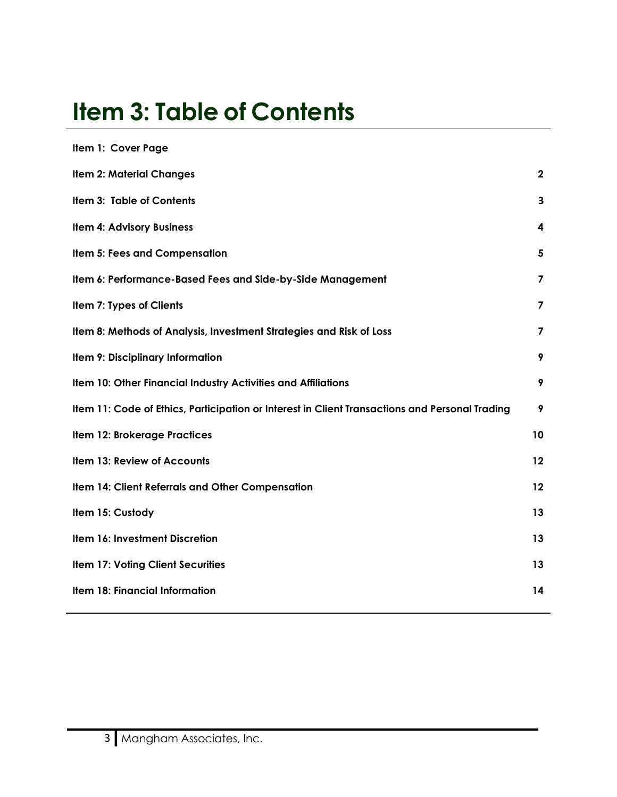# <span id="page-2-0"></span>**Item 3: Table of Contents**

| Item 1: Cover Page                                                                             |                         |
|------------------------------------------------------------------------------------------------|-------------------------|
| <b>Item 2: Material Changes</b>                                                                | $\mathbf{2}$            |
| Item 3: Table of Contents                                                                      | 3                       |
| Item 4: Advisory Business                                                                      | 4                       |
| <b>Item 5: Fees and Compensation</b>                                                           | 5                       |
| Item 6: Performance-Based Fees and Side-by-Side Management                                     | 7                       |
| Item 7: Types of Clients                                                                       | 7                       |
| Item 8: Methods of Analysis, Investment Strategies and Risk of Loss                            | $\overline{\mathbf{z}}$ |
| Item 9: Disciplinary Information                                                               | 9                       |
| Item 10: Other Financial Industry Activities and Affiliations                                  | 9                       |
| Item 11: Code of Ethics, Participation or Interest in Client Transactions and Personal Trading | 9                       |
| <b>Item 12: Brokerage Practices</b>                                                            | 10                      |
| Item 13: Review of Accounts                                                                    | 12                      |
| Item 14: Client Referrals and Other Compensation                                               | 12                      |
| Item 15: Custody                                                                               | 13                      |
| Item 16: Investment Discretion                                                                 | 13                      |
| <b>Item 17: Voting Client Securities</b>                                                       | 13                      |
| Item 18: Financial Information                                                                 | 14                      |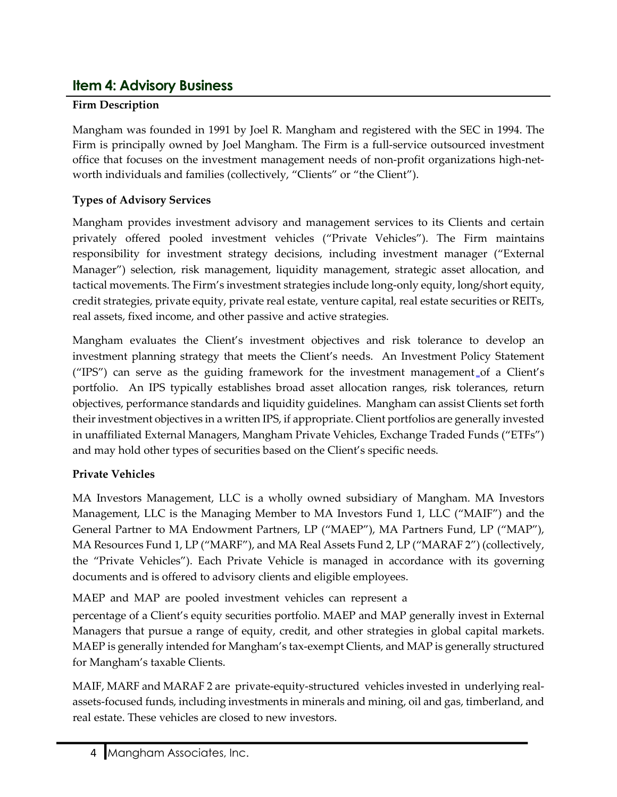### <span id="page-3-0"></span>**Item 4: Advisory Business**

### **Firm Description**

Mangham was founded in 1991 by Joel R. Mangham and registered with the SEC in 1994. The Firm is principally owned by Joel Mangham. The Firm is a full-service outsourced investment office that focuses on the investment management needs of non-profit organizations high-networth individuals and families (collectively, "Clients" or "the Client").

### **Types of Advisory Services**

Mangham provides investment advisory and management services to its Clients and certain privately offered pooled investment vehicles ("Private Vehicles"). The Firm maintains responsibility for investment strategy decisions, including investment manager ("External Manager") selection, risk management, liquidity management, strategic asset allocation, and tactical movements. The Firm's investment strategies include long-only equity, long/short equity, credit strategies, private equity, private real estate, venture capital, real estate securities or REITs, real assets, fixed income, and other passive and active strategies.

Mangham evaluates the Client's investment objectives and risk tolerance to develop an investment planning strategy that meets the Client's needs. An Investment Policy Statement ( $'IPS'$ ) can serve as the guiding framework for the investment management of a Client's portfolio. An IPS typically establishes broad asset allocation ranges, risk tolerances, return objectives, performance standards and liquidity guidelines. Mangham can assist Clients set forth their investment objectives in a written IPS, if appropriate. Client portfolios are generally invested in unaffiliated External Managers, Mangham Private Vehicles, Exchange Traded Funds ("ETFs") and may hold other types of securities based on the Client's specific needs.

### **Private Vehicles**

MA Investors Management, LLC is a wholly owned subsidiary of Mangham. MA Investors Management, LLC is the Managing Member to MA Investors Fund 1, LLC ("MAIF") and the General Partner to MA Endowment Partners, LP ("MAEP"), MA Partners Fund, LP ("MAP"), MA Resources Fund 1, LP ("MARF"), and MA Real Assets Fund 2, LP ("MARAF 2") (collectively, the "Private Vehicles"). Each Private Vehicle is managed in accordance with its governing documents and is offered to advisory clients and eligible employees.

MAEP and MAP are pooled investment vehicles can represent a

percentage of a Client's equity securities portfolio. MAEP and MAP generally invest in External Managers that pursue a range of equity, credit, and other strategies in global capital markets. MAEP is generally intended for Mangham's tax-exempt Clients, and MAP is generally structured for Mangham's taxable Clients.

MAIF, MARF and MARAF 2 are private-equity-structured vehicles invested in underlying realassets-focused funds, including investments in minerals and mining, oil and gas, timberland, and real estate. These vehicles are closed to new investors.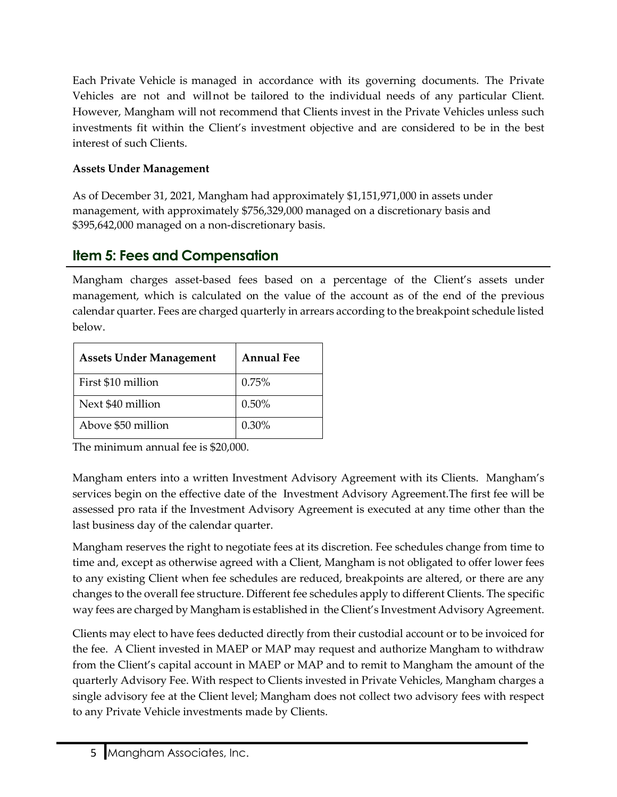Each Private Vehicle is managed in accordance with its governing documents. The Private Vehicles are not and willnot be tailored to the individual needs of any particular Client. However, Mangham will not recommend that Clients invest in the Private Vehicles unless such investments fit within the Client's investment objective and are considered to be in the best interest of such Clients.

#### **Assets Under Management**

As of December 31, 2021, Mangham had approximately \$1,151,971,000 in assets under management, with approximately \$756,329,000 managed on a discretionary basis and \$395,642,000 managed on a non-discretionary basis.

### <span id="page-4-0"></span>**Item 5: Fees and Compensation**

Mangham charges asset-based fees based on a percentage of the Client's assets under management, which is calculated on the value of the account as of the end of the previous calendar quarter. Fees are charged quarterly in arrears according to the breakpoint schedule listed below.

| <b>Assets Under Management</b> | <b>Annual Fee</b> |
|--------------------------------|-------------------|
| First \$10 million             | 0.75%             |
| Next \$40 million              | 0.50%             |
| Above \$50 million             | 0.30%             |

The minimum annual fee is \$20,000.

Mangham enters into a written Investment Advisory Agreement with its Clients. Mangham's services begin on the effective date of the Investment Advisory Agreement.The first fee will be assessed pro rata if the Investment Advisory Agreement is executed at any time other than the last business day of the calendar quarter.

Mangham reserves the right to negotiate fees at its discretion. Fee schedules change from time to time and, except as otherwise agreed with a Client, Mangham is not obligated to offer lower fees to any existing Client when fee schedules are reduced, breakpoints are altered, or there are any changes to the overall fee structure. Different fee schedules apply to different Clients. The specific way fees are charged by Mangham is established in the Client's Investment Advisory Agreement.

Clients may elect to have fees deducted directly from their custodial account or to be invoiced for the fee. A Client invested in MAEP or MAP may request and authorize Mangham to withdraw from the Client's capital account in MAEP or MAP and to remit to Mangham the amount of the quarterly Advisory Fee. With respect to Clients invested in Private Vehicles, Mangham charges a single advisory fee at the Client level; Mangham does not collect two advisory fees with respect to any Private Vehicle investments made by Clients.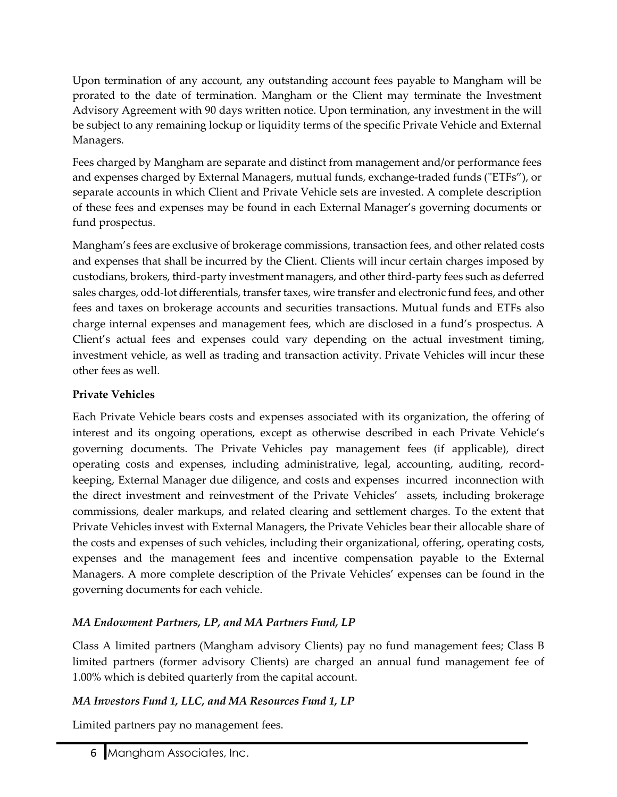Upon termination of any account, any outstanding account fees payable to Mangham will be prorated to the date of termination. Mangham or the Client may terminate the Investment Advisory Agreement with 90 days written notice. Upon termination, any investment in the will be subject to any remaining lockup or liquidity terms of the specific Private Vehicle and External Managers.

Fees charged by Mangham are separate and distinct from management and/or performance fees and expenses charged by External Managers, mutual funds, exchange-traded funds ("ETFs"), or separate accounts in which Client and Private Vehicle sets are invested. A complete description of these fees and expenses may be found in each External Manager's governing documents or fund prospectus.

Mangham's fees are exclusive of brokerage commissions, transaction fees, and other related costs and expenses that shall be incurred by the Client. Clients will incur certain charges imposed by custodians, brokers, third-party investment managers, and other third-party fees such as deferred sales charges, odd-lot differentials, transfer taxes, wire transfer and electronic fund fees, and other fees and taxes on brokerage accounts and securities transactions. Mutual funds and ETFs also charge internal expenses and management fees, which are disclosed in a fund's prospectus. A Client's actual fees and expenses could vary depending on the actual investment timing, investment vehicle, as well as trading and transaction activity. Private Vehicles will incur these other fees as well.

### **Private Vehicles**

Each Private Vehicle bears costs and expenses associated with its organization, the offering of interest and its ongoing operations, except as otherwise described in each Private Vehicle's governing documents. The Private Vehicles pay management fees (if applicable), direct operating costs and expenses, including administrative, legal, accounting, auditing, recordkeeping, External Manager due diligence, and costs and expenses incurred inconnection with the direct investment and reinvestment of the Private Vehicles' assets, including brokerage commissions, dealer markups, and related clearing and settlement charges. To the extent that Private Vehicles invest with External Managers, the Private Vehicles bear their allocable share of the costs and expenses of such vehicles, including their organizational, offering, operating costs, expenses and the management fees and incentive compensation payable to the External Managers. A more complete description of the Private Vehicles' expenses can be found in the governing documents for each vehicle.

### *MA Endowment Partners, LP, and MA Partners Fund, LP*

Class A limited partners (Mangham advisory Clients) pay no fund management fees; Class B limited partners (former advisory Clients) are charged an annual fund management fee of 1.00% which is debited quarterly from the capital account.

### *MA Investors Fund 1, LLC, and MA Resources Fund 1, LP*

Limited partners pay no management fees.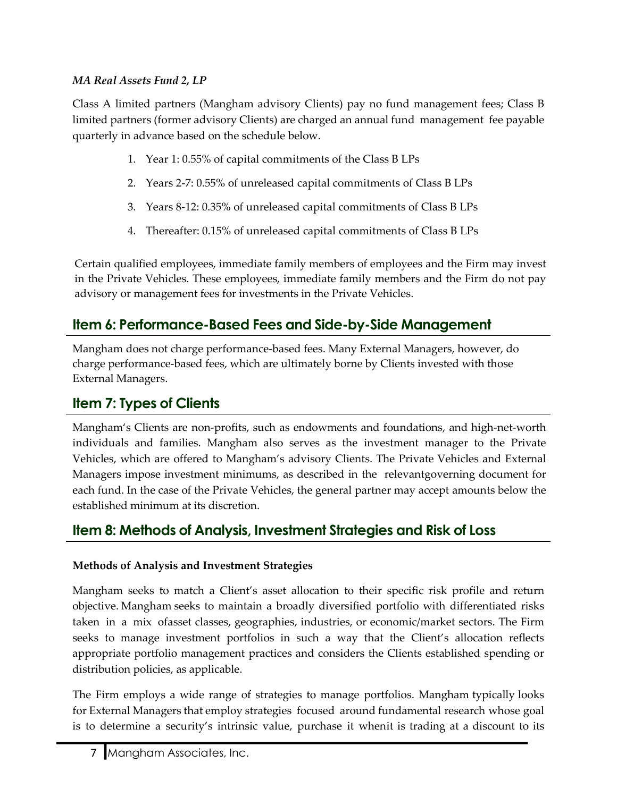#### *MA Real Assets Fund 2, LP*

Class A limited partners (Mangham advisory Clients) pay no fund management fees; Class B limited partners (former advisory Clients) are charged an annual fund management fee payable quarterly in advance based on the schedule below.

- 1. Year 1: 0.55% of capital commitments of the Class B LPs
- 2. Years 2-7: 0.55% of unreleased capital commitments of Class B LPs
- 3. Years 8-12: 0.35% of unreleased capital commitments of Class B LPs
- 4. Thereafter: 0.15% of unreleased capital commitments of Class B LPs

Certain qualified employees, immediate family members of employees and the Firm may invest in the Private Vehicles. These employees, immediate family members and the Firm do not pay advisory or management fees for investments in the Private Vehicles.

### <span id="page-6-0"></span>**Item 6: Performance-Based Fees and Side-by-Side Management**

Mangham does not charge performance-based fees. Many External Managers, however, do charge performance-based fees, which are ultimately borne by Clients invested with those External Managers.

### <span id="page-6-1"></span>**Item 7: Types of Clients**

Mangham's Clients are non-profits, such as endowments and foundations, and high-net-worth individuals and families. Mangham also serves as the investment manager to the Private Vehicles, which are offered to Mangham's advisory Clients. The Private Vehicles and External Managers impose investment minimums, as described in the relevantgoverning document for each fund. In the case of the Private Vehicles, the general partner may accept amounts below the established minimum at its discretion.

### <span id="page-6-2"></span>**Item 8: Methods of Analysis, Investment Strategies and Risk of Loss**

### **Methods of Analysis and Investment Strategies**

Mangham seeks to match a Client's asset allocation to their specific risk profile and return objective. Mangham seeks to maintain a broadly diversified portfolio with differentiated risks taken in a mix ofasset classes, geographies, industries, or economic/market sectors. The Firm seeks to manage investment portfolios in such a way that the Client's allocation reflects appropriate portfolio management practices and considers the Clients established spending or distribution policies, as applicable.

The Firm employs a wide range of strategies to manage portfolios. Mangham typically looks for External Managers that employ strategies focused around fundamental research whose goal is to determine a security's intrinsic value, purchase it whenit is trading at a discount to its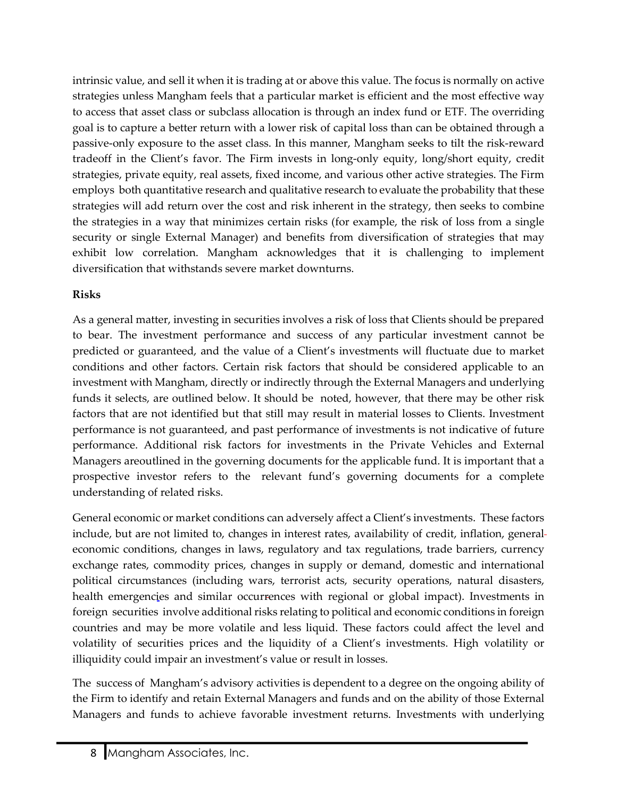intrinsic value, and sell it when it is trading at or above this value. The focus is normally on active strategies unless Mangham feels that a particular market is efficient and the most effective way to access that asset class or subclass allocation is through an index fund or ETF. The overriding goal is to capture a better return with a lower risk of capital loss than can be obtained through a passive-only exposure to the asset class. In this manner, Mangham seeks to tilt the risk-reward tradeoff in the Client's favor. The Firm invests in long-only equity, long/short equity, credit strategies, private equity, real assets, fixed income, and various other active strategies. The Firm employs both quantitative research and qualitative research to evaluate the probability that these strategies will add return over the cost and risk inherent in the strategy, then seeks to combine the strategies in a way that minimizes certain risks (for example, the risk of loss from a single security or single External Manager) and benefits from diversification of strategies that may exhibit low correlation. Mangham acknowledges that it is challenging to implement diversification that withstands severe market downturns.

#### **Risks**

As a general matter, investing in securities involves a risk of loss that Clients should be prepared to bear. The investment performance and success of any particular investment cannot be predicted or guaranteed, and the value of a Client's investments will fluctuate due to market conditions and other factors. Certain risk factors that should be considered applicable to an investment with Mangham, directly or indirectly through the External Managers and underlying funds it selects, are outlined below. It should be noted, however, that there may be other risk factors that are not identified but that still may result in material losses to Clients. Investment performance is not guaranteed, and past performance of investments is not indicative of future performance. Additional risk factors for investments in the Private Vehicles and External Managers areoutlined in the governing documents for the applicable fund. It is important that a prospective investor refers to the relevant fund's governing documents for a complete understanding of related risks.

General economic or market conditions can adversely affect a Client's investments. These factors include, but are not limited to, changes in interest rates, availability of credit, inflation, general economic conditions, changes in laws, regulatory and tax regulations, trade barriers, currency exchange rates, commodity prices, changes in supply or demand, domestic and international political circumstances (including wars, terrorist acts, security operations, natural disasters, health emergencies and similar occurrences with regional or global impact). Investments in foreign securities involve additional risks relating to political and economic conditions in foreign countries and may be more volatile and less liquid. These factors could affect the level and volatility of securities prices and the liquidity of a Client's investments. High volatility or illiquidity could impair an investment's value or result in losses.

The success of Mangham's advisory activities is dependent to a degree on the ongoing ability of the Firm to identify and retain External Managers and funds and on the ability of those External Managers and funds to achieve favorable investment returns. Investments with underlying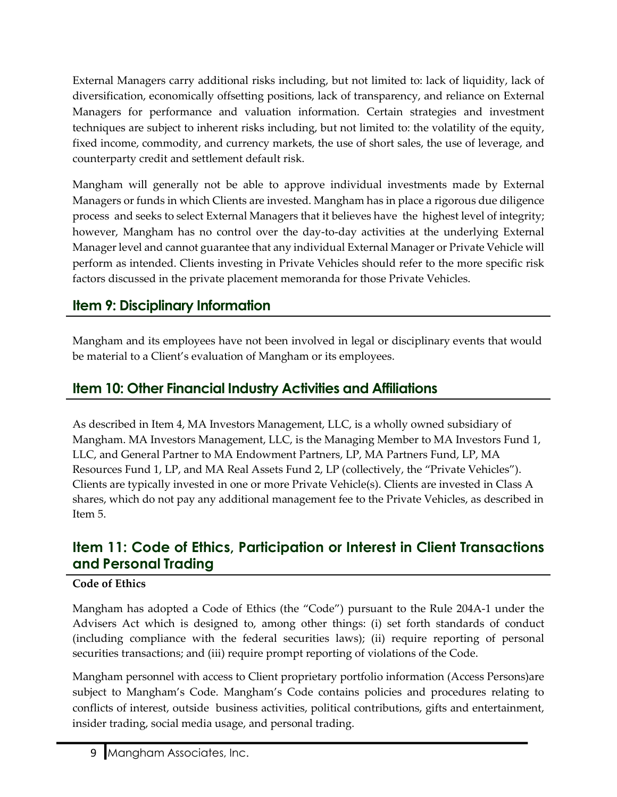External Managers carry additional risks including, but not limited to: lack of liquidity, lack of diversification, economically offsetting positions, lack of transparency, and reliance on External Managers for performance and valuation information. Certain strategies and investment techniques are subject to inherent risks including, but not limited to: the volatility of the equity, fixed income, commodity, and currency markets, the use of short sales, the use of leverage, and counterparty credit and settlement default risk.

Mangham will generally not be able to approve individual investments made by External Managers or funds in which Clients are invested. Mangham has in place a rigorous due diligence process and seeks to select External Managers that it believes have the highest level of integrity; however, Mangham has no control over the day-to-day activities at the underlying External Manager level and cannot guarantee that any individual External Manager or Private Vehicle will perform as intended. Clients investing in Private Vehicles should refer to the more specific risk factors discussed in the private placement memoranda for those Private Vehicles.

### <span id="page-8-0"></span>**Item 9: Disciplinary Information**

Mangham and its employees have not been involved in legal or disciplinary events that would be material to a Client's evaluation of Mangham or its employees.

### <span id="page-8-1"></span>**Item 10: Other Financial Industry Activities and Affiliations**

As described in Item 4, MA Investors Management, LLC, is a wholly owned subsidiary of Mangham. MA Investors Management, LLC, is the Managing Member to MA Investors Fund 1, LLC, and General Partner to MA Endowment Partners, LP, MA Partners Fund, LP, MA Resources Fund 1, LP, and MA Real Assets Fund 2, LP (collectively, the "Private Vehicles"). Clients are typically invested in one or more Private Vehicle(s). Clients are invested in Class A shares, which do not pay any additional management fee to the Private Vehicles, as described in Item 5.

### <span id="page-8-2"></span>**Item 11: Code of Ethics, Participation or Interest in Client Transactions and Personal Trading**

### **Code of Ethics**

Mangham has adopted a Code of Ethics (the "Code") pursuant to the Rule 204A-1 under the Advisers Act which is designed to, among other things: (i) set forth standards of conduct (including compliance with the federal securities laws); (ii) require reporting of personal securities transactions; and (iii) require prompt reporting of violations of the Code.

Mangham personnel with access to Client proprietary portfolio information (Access Persons)are subject to Mangham's Code. Mangham's Code contains policies and procedures relating to conflicts of interest, outside business activities, political contributions, gifts and entertainment, insider trading, social media usage, and personal trading.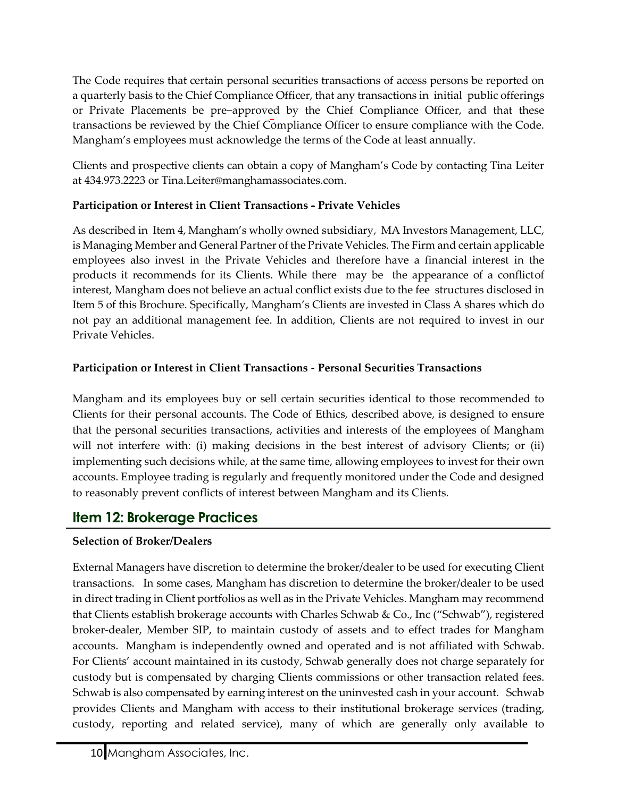The Code requires that certain personal securities transactions of access persons be reported on a quarterly basis to the Chief Compliance Officer, that any transactions in initial public offerings or Private Placements be pre−approved by the Chief Compliance Officer, and that these transactions be reviewed by the Chief Compliance Officer to ensure compliance with the Code. Mangham's employees must acknowledge the terms of the Code at least annually.

Clients and prospective clients can obtain a copy of Mangham's Code by contacting Tina Leiter at 434.973.2223 or [Tina.Leiter@manghamassociates.com.](mailto:Tina.Leiter@manghamassociates.com)

### **Participation or Interest in Client Transactions - Private Vehicles**

As described in Item 4, Mangham's wholly owned subsidiary, MA Investors Management, LLC, is Managing Member and General Partner of the Private Vehicles. The Firm and certain applicable employees also invest in the Private Vehicles and therefore have a financial interest in the products it recommends for its Clients. While there may be the appearance of a conflictof interest, Mangham does not believe an actual conflict exists due to the fee structures disclosed in Item 5 of this Brochure. Specifically, Mangham's Clients are invested in Class A shares which do not pay an additional management fee. In addition, Clients are not required to invest in our Private Vehicles.

### **Participation or Interest in Client Transactions - Personal Securities Transactions**

Mangham and its employees buy or sell certain securities identical to those recommended to Clients for their personal accounts. The Code of Ethics, described above, is designed to ensure that the personal securities transactions, activities and interests of the employees of Mangham will not interfere with: (i) making decisions in the best interest of advisory Clients; or (ii) implementing such decisions while, at the same time, allowing employees to invest for their own accounts. Employee trading is regularly and frequently monitored under the Code and designed to reasonably prevent conflicts of interest between Mangham and its Clients.

### <span id="page-9-0"></span>**Item 12: Brokerage Practices**

### **Selection of Broker/Dealers**

External Managers have discretion to determine the broker/dealer to be used for executing Client transactions. In some cases, Mangham has discretion to determine the broker/dealer to be used in direct trading in Client portfolios as well as in the Private Vehicles. Mangham may recommend that Clients establish brokerage accounts with Charles Schwab & Co., Inc ("Schwab"), registered broker-dealer, Member SIP, to maintain custody of assets and to effect trades for Mangham accounts. Mangham is independently owned and operated and is not affiliated with Schwab. For Clients' account maintained in its custody, Schwab generally does not charge separately for custody but is compensated by charging Clients commissions or other transaction related fees. Schwab is also compensated by earning interest on the uninvested cash in your account. Schwab provides Clients and Mangham with access to their institutional brokerage services (trading, custody, reporting and related service), many of which are generally only available to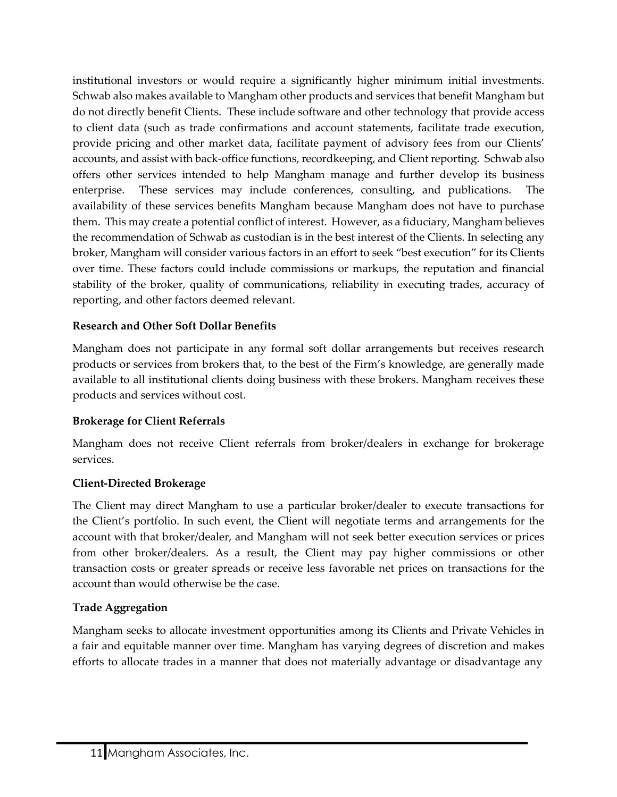institutional investors or would require a significantly higher minimum initial investments. Schwab also makes available to Mangham other products and services that benefit Mangham but do not directly benefit Clients. These include software and other technology that provide access to client data (such as trade confirmations and account statements, facilitate trade execution, provide pricing and other market data, facilitate payment of advisory fees from our Clients' accounts, and assist with back-office functions, recordkeeping, and Client reporting. Schwab also offers other services intended to help Mangham manage and further develop its business enterprise. These services may include conferences, consulting, and publications. The availability of these services benefits Mangham because Mangham does not have to purchase them. This may create a potential conflict of interest. However, as a fiduciary, Mangham believes the recommendation of Schwab as custodian is in the best interest of the Clients. In selecting any broker, Mangham will consider various factors in an effort to seek "best execution" for its Clients over time. These factors could include commissions or markups, the reputation and financial stability of the broker, quality of communications, reliability in executing trades, accuracy of reporting, and other factors deemed relevant.

#### **Research and Other Soft Dollar Benefits**

Mangham does not participate in any formal soft dollar arrangements but receives research products or services from brokers that, to the best of the Firm's knowledge, are generally made available to all institutional clients doing business with these brokers. Mangham receives these products and services without cost.

#### **Brokerage for Client Referrals**

Mangham does not receive Client referrals from broker/dealers in exchange for brokerage services.

#### **Client-Directed Brokerage**

The Client may direct Mangham to use a particular broker/dealer to execute transactions for the Client's portfolio. In such event, the Client will negotiate terms and arrangements for the account with that broker/dealer, and Mangham will not seek better execution services or prices from other broker/dealers. As a result, the Client may pay higher commissions or other transaction costs or greater spreads or receive less favorable net prices on transactions for the account than would otherwise be the case.

#### **Trade Aggregation**

Mangham seeks to allocate investment opportunities among its Clients and Private Vehicles in a fair and equitable manner over time. Mangham has varying degrees of discretion and makes efforts to allocate trades in a manner that does not materially advantage or disadvantage any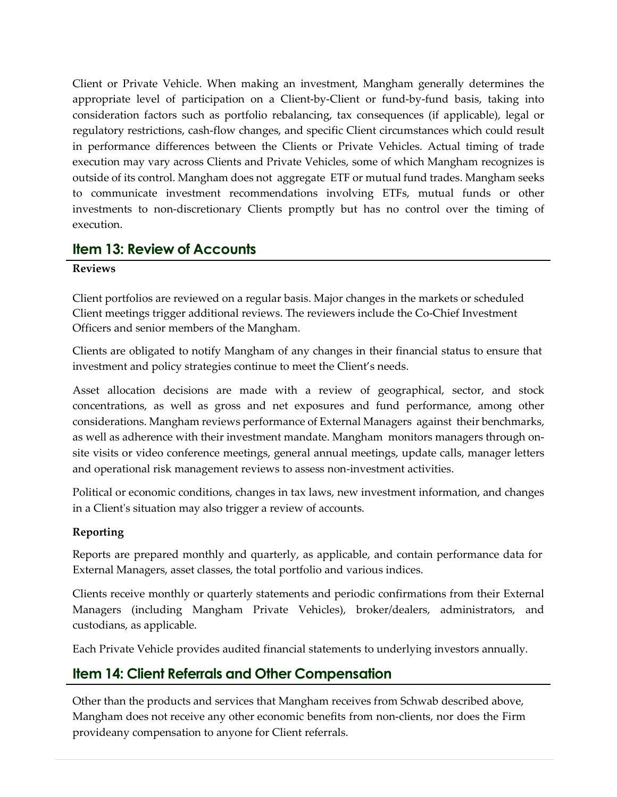Client or Private Vehicle. When making an investment, Mangham generally determines the appropriate level of participation on a Client-by-Client or fund-by-fund basis, taking into consideration factors such as portfolio rebalancing, tax consequences (if applicable), legal or regulatory restrictions, cash-flow changes, and specific Client circumstances which could result in performance differences between the Clients or Private Vehicles. Actual timing of trade execution may vary across Clients and Private Vehicles, some of which Mangham recognizes is outside of its control. Mangham does not aggregate ETF or mutual fund trades. Mangham seeks to communicate investment recommendations involving ETFs, mutual funds or other investments to non-discretionary Clients promptly but has no control over the timing of execution.

### <span id="page-11-0"></span>**Item 13: Review of Accounts**

#### **Reviews**

Client portfolios are reviewed on a regular basis. Major changes in the markets or scheduled Client meetings trigger additional reviews. The reviewers include the Co-Chief Investment Officers and senior members of the Mangham.

Clients are obligated to notify Mangham of any changes in their financial status to ensure that investment and policy strategies continue to meet the Client's needs.

Asset allocation decisions are made with a review of geographical, sector, and stock concentrations, as well as gross and net exposures and fund performance, among other considerations. Mangham reviews performance of External Managers against their benchmarks, as well as adherence with their investment mandate. Mangham monitors managers through onsite visits or video conference meetings, general annual meetings, update calls, manager letters and operational risk management reviews to assess non-investment activities.

Political or economic conditions, changes in tax laws, new investment information, and changes in a Client's situation may also trigger a review of accounts.

#### **Reporting**

Reports are prepared monthly and quarterly, as applicable, and contain performance data for External Managers, asset classes, the total portfolio and various indices.

Clients receive monthly or quarterly statements and periodic confirmations from their External Managers (including Mangham Private Vehicles), broker/dealers, administrators, and custodians, as applicable.

Each Private Vehicle provides audited financial statements to underlying investors annually.

### <span id="page-11-1"></span>**Item 14: Client Referrals and Other Compensation**

Other than the products and services that Mangham receives from Schwab described above, Mangham does not receive any other economic benefits from non-clients, nor does the Firm provideany compensation to anyone for Client referrals.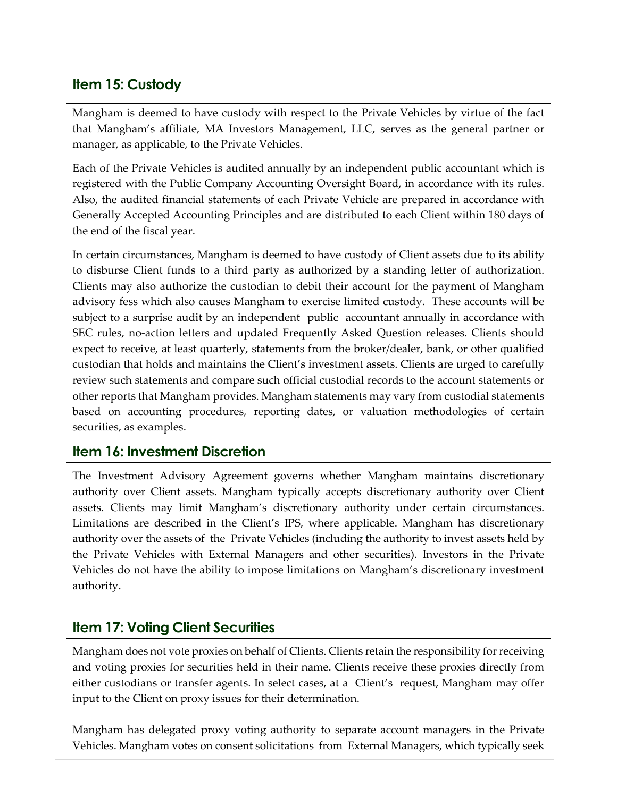### <span id="page-12-0"></span>**Item 15: Custody**

Mangham is deemed to have custody with respect to the Private Vehicles by virtue of the fact that Mangham's affiliate, MA Investors Management, LLC, serves as the general partner or manager, as applicable, to the Private Vehicles.

Each of the Private Vehicles is audited annually by an independent public accountant which is registered with the Public Company Accounting Oversight Board, in accordance with its rules. Also, the audited financial statements of each Private Vehicle are prepared in accordance with Generally Accepted Accounting Principles and are distributed to each Client within 180 days of the end of the fiscal year.

In certain circumstances, Mangham is deemed to have custody of Client assets due to its ability to disburse Client funds to a third party as authorized by a standing letter of authorization. Clients may also authorize the custodian to debit their account for the payment of Mangham advisory fess which also causes Mangham to exercise limited custody. These accounts will be subject to a surprise audit by an independent public accountant annually in accordance with SEC rules, no-action letters and updated Frequently Asked Question releases. Clients should expect to receive, at least quarterly, statements from the broker/dealer, bank, or other qualified custodian that holds and maintains the Client's investment assets. Clients are urged to carefully review such statements and compare such official custodial records to the account statements or other reports that Mangham provides. Mangham statements may vary from custodial statements based on accounting procedures, reporting dates, or valuation methodologies of certain securities, as examples.

### <span id="page-12-1"></span>**Item 16: Investment Discretion**

The Investment Advisory Agreement governs whether Mangham maintains discretionary authority over Client assets. Mangham typically accepts discretionary authority over Client assets. Clients may limit Mangham's discretionary authority under certain circumstances. Limitations are described in the Client's IPS, where applicable. Mangham has discretionary authority over the assets of the Private Vehicles (including the authority to invest assets held by the Private Vehicles with External Managers and other securities). Investors in the Private Vehicles do not have the ability to impose limitations on Mangham's discretionary investment authority.

### <span id="page-12-2"></span>**Item 17: Voting Client Securities**

Mangham does not vote proxies on behalf of Clients. Clients retain the responsibility forreceiving and voting proxies for securities held in their name. Clients receive these proxies directly from either custodians or transfer agents. In select cases, at a Client's request, Mangham may offer input to the Client on proxy issues for their determination.

Mangham has delegated proxy voting authority to separate account managers in the Private Vehicles. Mangham votes on consent solicitations from External Managers, which typically seek